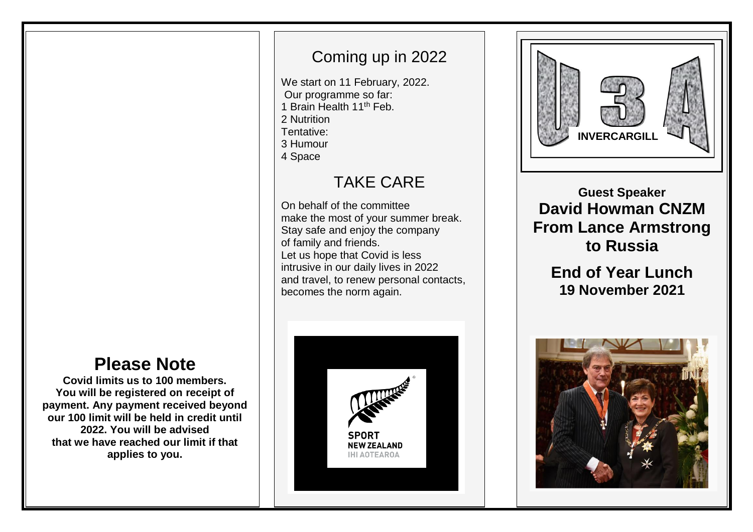# **Please Note**

**Covid limits us to 100 members. You will be registered on receipt of payment. Any payment received beyond our 100 limit will be held in credit until 2022. You will be advised that we have reached our limit if that applies to you.**

# Coming up in 2022

We start on 11 February, 2022. Our programme so far: 1 Brain Health 11th Feb. 2 Nutrition Tentative:

- 3 Humour
- 4 Space

### TAKE CARE

On behalf of the committee make the most of your summer break. Stay safe and enjoy the company of family and friends. Let us hope that Covid is less intrusive in our daily lives in 2022 and travel, to renew personal contacts, becomes the norm again.





## **Guest Speaker David Howman CNZM From Lance Armstrong to Russia**

## **End of Year Lunch 19 November 2021**